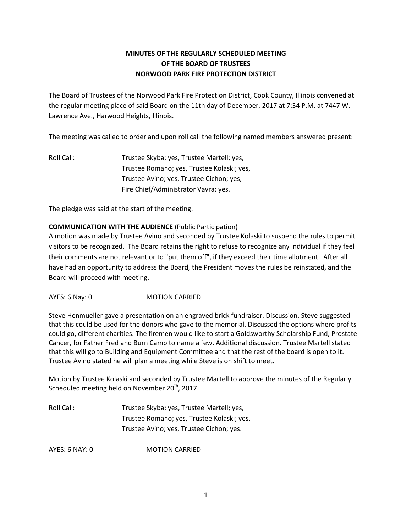# **MINUTES OF THE REGULARLY SCHEDULED MEETING OF THE BOARD OF TRUSTEES NORWOOD PARK FIRE PROTECTION DISTRICT**

The Board of Trustees of the Norwood Park Fire Protection District, Cook County, Illinois convened at the regular meeting place of said Board on the 11th day of December, 2017 at 7:34 P.M. at 7447 W. Lawrence Ave., Harwood Heights, Illinois.

The meeting was called to order and upon roll call the following named members answered present:

Roll Call: Trustee Skyba; yes, Trustee Martell; yes, Trustee Romano; yes, Trustee Kolaski; yes, Trustee Avino; yes, Trustee Cichon; yes, Fire Chief/Administrator Vavra; yes.

The pledge was said at the start of the meeting.

# **COMMUNICATION WITH THE AUDIENCE** (Public Participation)

A motion was made by Trustee Avino and seconded by Trustee Kolaski to suspend the rules to permit visitors to be recognized. The Board retains the right to refuse to recognize any individual if they feel their comments are not relevant or to "put them off", if they exceed their time allotment. After all have had an opportunity to address the Board, the President moves the rules be reinstated, and the Board will proceed with meeting.

AYES: 6 Nay: 0 MOTION CARRIED

Steve Henmueller gave a presentation on an engraved brick fundraiser. Discussion. Steve suggested that this could be used for the donors who gave to the memorial. Discussed the options where profits could go, different charities. The firemen would like to start a Goldsworthy Scholarship Fund, Prostate Cancer, for Father Fred and Burn Camp to name a few. Additional discussion. Trustee Martell stated that this will go to Building and Equipment Committee and that the rest of the board is open to it. Trustee Avino stated he will plan a meeting while Steve is on shift to meet.

Motion by Trustee Kolaski and seconded by Trustee Martell to approve the minutes of the Regularly Scheduled meeting held on November  $20<sup>th</sup>$ , 2017.

Roll Call: Trustee Skyba; yes, Trustee Martell; yes, Trustee Romano; yes, Trustee Kolaski; yes, Trustee Avino; yes, Trustee Cichon; yes.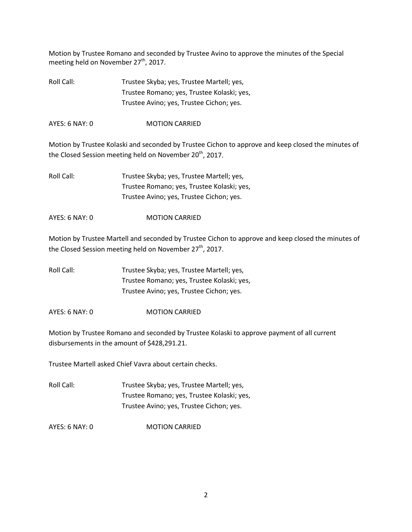Motion by Trustee Romano and seconded by Trustee Avino to approve the minutes of the Special meeting held on November 27<sup>th</sup>, 2017.

Roll Call: Trustee Skyba; yes, Trustee Martell; yes, Trustee Romano; yes, Trustee Kolaski; yes, Trustee Avino; yes, Trustee Cichon; yes.

AYES: 6 NAY: 0 MOTION CARRIED

Motion by Trustee Kolaski and seconded by Trustee Cichon to approve and keep closed the minutes of the Closed Session meeting held on November 20<sup>th</sup>, 2017.

Roll Call: Trustee Skyba; yes, Trustee Martell; yes, Trustee Romano; yes, Trustee Kolaski; yes, Trustee Avino; yes, Trustee Cichon; yes.

AYES: 6 NAY: 0 MOTION CARRIED

Motion by Trustee Martell and seconded by Trustee Cichon to approve and keep closed the minutes of the Closed Session meeting held on November 27<sup>th</sup>, 2017.

Roll Call: Trustee Skyba; yes, Trustee Martell; yes, Trustee Romano; yes, Trustee Kolaski; yes, Trustee Avino; yes, Trustee Cichon; yes.

AYES: 6 NAY: 0 MOTION CARRIED

Motion by Trustee Romano and seconded by Trustee Kolaski to approve payment of all current disbursements in the amount of \$428,291.21.

Trustee Martell asked Chief Vavra about certain checks.

Roll Call: Trustee Skyba; yes, Trustee Martell; yes, Trustee Romano; yes, Trustee Kolaski; yes, Trustee Avino; yes, Trustee Cichon; yes.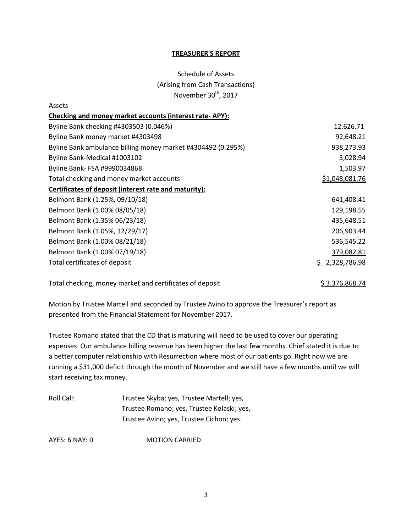#### **TREASURER'S REPORT**

# Schedule of Assets (Arising from Cash Transactions) November 30<sup>th</sup>, 2017

| Assets                                                       |                |
|--------------------------------------------------------------|----------------|
| Checking and money market accounts (interest rate-APY):      |                |
| Byline Bank checking #4303503 (0.046%)                       | 12,626.71      |
| Byline Bank money market #4303498                            | 92,648.21      |
| Byline Bank ambulance billing money market #4304492 (0.295%) | 938,273.93     |
| Byline Bank-Medical #1003102                                 | 3,028.94       |
| Byline Bank- FSA #9990034868                                 | 1,503.97       |
| Total checking and money market accounts                     | \$1,048,081.76 |
| Certificates of deposit (interest rate and maturity):        |                |
| Belmont Bank (1.25%, 09/10/18)                               | 641,408.41     |
| Belmont Bank (1.00% 08/05/18)                                | 129,198.55     |
| Belmont Bank (1.35% 06/23/18)                                | 435,648.51     |
| Belmont Bank (1.05%, 12/29/17)                               | 206,903.44     |
| Belmont Bank (1.00% 08/21/18)                                | 536,545.22     |
| Belmont Bank (1.00% 07/19/18)                                | 379,082.81     |
| Total certificates of deposit                                | 2,328,786.98   |

Total checking, money market and certificates of deposit  $\frac{1}{2}$  \$ 3,376,868.74

Motion by Trustee Martell and seconded by Trustee Avino to approve the Treasurer's report as presented from the Financial Statement for November 2017.

Trustee Romano stated that the CD that is maturing will need to be used to cover our operating expenses. Our ambulance billing revenue has been higher the last few months. Chief stated it is due to a better computer relationship with Resurrection where most of our patients go. Right now we are running a \$31,000 deficit through the month of November and we still have a few months until we will start receiving tax money.

| Roll Call: | Trustee Skyba; yes, Trustee Martell; yes,  |
|------------|--------------------------------------------|
|            | Trustee Romano; yes, Trustee Kolaski; yes, |
|            | Trustee Avino; yes, Trustee Cichon; yes.   |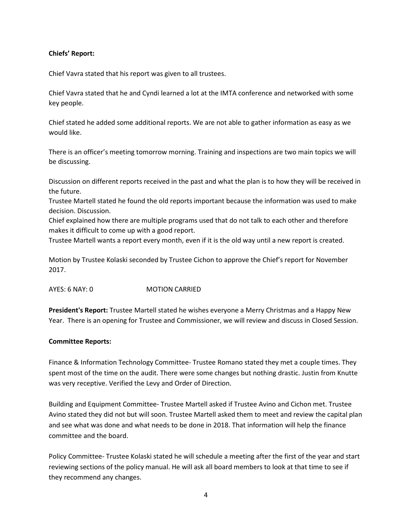# **Chiefs' Report:**

Chief Vavra stated that his report was given to all trustees.

Chief Vavra stated that he and Cyndi learned a lot at the IMTA conference and networked with some key people.

Chief stated he added some additional reports. We are not able to gather information as easy as we would like.

There is an officer's meeting tomorrow morning. Training and inspections are two main topics we will be discussing.

Discussion on different reports received in the past and what the plan is to how they will be received in the future.

Trustee Martell stated he found the old reports important because the information was used to make decision. Discussion.

Chief explained how there are multiple programs used that do not talk to each other and therefore makes it difficult to come up with a good report.

Trustee Martell wants a report every month, even if it is the old way until a new report is created.

Motion by Trustee Kolaski seconded by Trustee Cichon to approve the Chief's report for November 2017.

AYES: 6 NAY: 0 MOTION CARRIED

**President's Report:** Trustee Martell stated he wishes everyone a Merry Christmas and a Happy New Year. There is an opening for Trustee and Commissioner, we will review and discuss in Closed Session.

### **Committee Reports:**

Finance & Information Technology Committee- Trustee Romano stated they met a couple times. They spent most of the time on the audit. There were some changes but nothing drastic. Justin from Knutte was very receptive. Verified the Levy and Order of Direction.

Building and Equipment Committee- Trustee Martell asked if Trustee Avino and Cichon met. Trustee Avino stated they did not but will soon. Trustee Martell asked them to meet and review the capital plan and see what was done and what needs to be done in 2018. That information will help the finance committee and the board.

Policy Committee- Trustee Kolaski stated he will schedule a meeting after the first of the year and start reviewing sections of the policy manual. He will ask all board members to look at that time to see if they recommend any changes.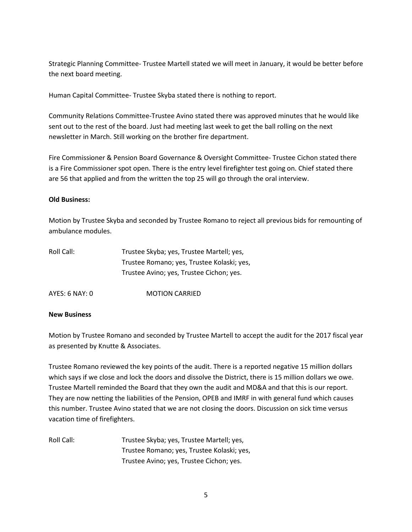Strategic Planning Committee- Trustee Martell stated we will meet in January, it would be better before the next board meeting.

Human Capital Committee- Trustee Skyba stated there is nothing to report.

Community Relations Committee-Trustee Avino stated there was approved minutes that he would like sent out to the rest of the board. Just had meeting last week to get the ball rolling on the next newsletter in March. Still working on the brother fire department.

Fire Commissioner & Pension Board Governance & Oversight Committee- Trustee Cichon stated there is a Fire Commissioner spot open. There is the entry level firefighter test going on. Chief stated there are 56 that applied and from the written the top 25 will go through the oral interview.

### **Old Business:**

Motion by Trustee Skyba and seconded by Trustee Romano to reject all previous bids for remounting of ambulance modules.

| Trustee Skyba; yes, Trustee Martell; yes,  |
|--------------------------------------------|
| Trustee Romano; yes, Trustee Kolaski; yes, |
| Trustee Avino; yes, Trustee Cichon; yes.   |
|                                            |

AYES: 6 NAY: 0 MOTION CARRIED

### **New Business**

Motion by Trustee Romano and seconded by Trustee Martell to accept the audit for the 2017 fiscal year as presented by Knutte & Associates.

Trustee Romano reviewed the key points of the audit. There is a reported negative 15 million dollars which says if we close and lock the doors and dissolve the District, there is 15 million dollars we owe. Trustee Martell reminded the Board that they own the audit and MD&A and that this is our report. They are now netting the liabilities of the Pension, OPEB and IMRF in with general fund which causes this number. Trustee Avino stated that we are not closing the doors. Discussion on sick time versus vacation time of firefighters.

Roll Call: Trustee Skyba; yes, Trustee Martell; yes, Trustee Romano; yes, Trustee Kolaski; yes, Trustee Avino; yes, Trustee Cichon; yes.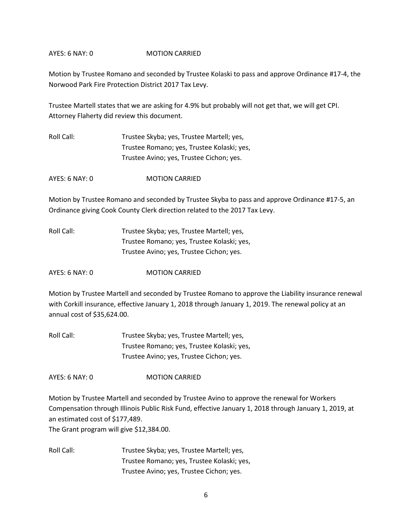### AYES: 6 NAY: 0 MOTION CARRIED

Motion by Trustee Romano and seconded by Trustee Kolaski to pass and approve Ordinance #17-4, the Norwood Park Fire Protection District 2017 Tax Levy.

Trustee Martell states that we are asking for 4.9% but probably will not get that, we will get CPI. Attorney Flaherty did review this document.

| Roll Call: | Trustee Skyba; yes, Trustee Martell; yes,  |
|------------|--------------------------------------------|
|            | Trustee Romano; yes, Trustee Kolaski; yes, |
|            | Trustee Avino; yes, Trustee Cichon; yes.   |

AYES: 6 NAY: 0 MOTION CARRIED

Motion by Trustee Romano and seconded by Trustee Skyba to pass and approve Ordinance #17-5, an Ordinance giving Cook County Clerk direction related to the 2017 Tax Levy.

| Roll Call: | Trustee Skyba; yes, Trustee Martell; yes,  |
|------------|--------------------------------------------|
|            | Trustee Romano; yes, Trustee Kolaski; yes, |
|            | Trustee Avino; yes, Trustee Cichon; yes.   |

AYES: 6 NAY: 0 MOTION CARRIED

Motion by Trustee Martell and seconded by Trustee Romano to approve the Liability insurance renewal with Corkill insurance, effective January 1, 2018 through January 1, 2019. The renewal policy at an annual cost of \$35,624.00.

Roll Call: Trustee Skyba; yes, Trustee Martell; yes, Trustee Romano; yes, Trustee Kolaski; yes, Trustee Avino; yes, Trustee Cichon; yes.

AYES: 6 NAY: 0 MOTION CARRIED

Motion by Trustee Martell and seconded by Trustee Avino to approve the renewal for Workers Compensation through Illinois Public Risk Fund, effective January 1, 2018 through January 1, 2019, at an estimated cost of \$177,489.

The Grant program will give \$12,384.00.

Roll Call: Trustee Skyba; yes, Trustee Martell; yes, Trustee Romano; yes, Trustee Kolaski; yes, Trustee Avino; yes, Trustee Cichon; yes.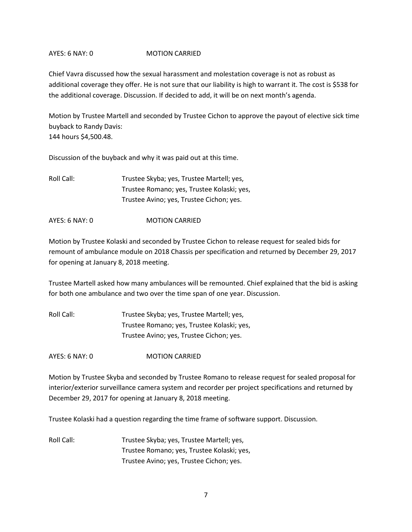## AYES: 6 NAY: 0 MOTION CARRIED

Chief Vavra discussed how the sexual harassment and molestation coverage is not as robust as additional coverage they offer. He is not sure that our liability is high to warrant it. The cost is \$538 for the additional coverage. Discussion. If decided to add, it will be on next month's agenda.

Motion by Trustee Martell and seconded by Trustee Cichon to approve the payout of elective sick time buyback to Randy Davis: 144 hours \$4,500.48.

Discussion of the buyback and why it was paid out at this time.

Roll Call: Trustee Skyba; yes, Trustee Martell; yes, Trustee Romano; yes, Trustee Kolaski; yes, Trustee Avino; yes, Trustee Cichon; yes.

AYES: 6 NAY: 0 MOTION CARRIED

Motion by Trustee Kolaski and seconded by Trustee Cichon to release request for sealed bids for remount of ambulance module on 2018 Chassis per specification and returned by December 29, 2017 for opening at January 8, 2018 meeting.

Trustee Martell asked how many ambulances will be remounted. Chief explained that the bid is asking for both one ambulance and two over the time span of one year. Discussion.

Roll Call: Trustee Skyba; yes, Trustee Martell; yes, Trustee Romano; yes, Trustee Kolaski; yes, Trustee Avino; yes, Trustee Cichon; yes.

AYES: 6 NAY: 0 MOTION CARRIED

Motion by Trustee Skyba and seconded by Trustee Romano to release request for sealed proposal for interior/exterior surveillance camera system and recorder per project specifications and returned by December 29, 2017 for opening at January 8, 2018 meeting.

Trustee Kolaski had a question regarding the time frame of software support. Discussion.

Roll Call: Trustee Skyba; yes, Trustee Martell; yes, Trustee Romano; yes, Trustee Kolaski; yes, Trustee Avino; yes, Trustee Cichon; yes.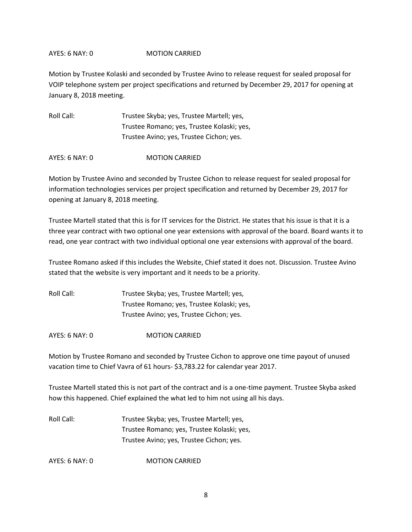### AYES: 6 NAY: 0 MOTION CARRIED

Motion by Trustee Kolaski and seconded by Trustee Avino to release request for sealed proposal for VOIP telephone system per project specifications and returned by December 29, 2017 for opening at January 8, 2018 meeting.

| Roll Call: | Trustee Skyba; yes, Trustee Martell; yes,  |
|------------|--------------------------------------------|
|            | Trustee Romano; yes, Trustee Kolaski; yes, |
|            | Trustee Avino; yes, Trustee Cichon; yes.   |
|            |                                            |

AYES: 6 NAY: 0 MOTION CARRIED

Motion by Trustee Avino and seconded by Trustee Cichon to release request for sealed proposal for information technologies services per project specification and returned by December 29, 2017 for opening at January 8, 2018 meeting.

Trustee Martell stated that this is for IT services for the District. He states that his issue is that it is a three year contract with two optional one year extensions with approval of the board. Board wants it to read, one year contract with two individual optional one year extensions with approval of the board.

Trustee Romano asked if this includes the Website, Chief stated it does not. Discussion. Trustee Avino stated that the website is very important and it needs to be a priority.

Roll Call: Trustee Skyba; yes, Trustee Martell; yes, Trustee Romano; yes, Trustee Kolaski; yes, Trustee Avino; yes, Trustee Cichon; yes.

AYES: 6 NAY: 0 MOTION CARRIED

Motion by Trustee Romano and seconded by Trustee Cichon to approve one time payout of unused vacation time to Chief Vavra of 61 hours- \$3,783.22 for calendar year 2017.

Trustee Martell stated this is not part of the contract and is a one-time payment. Trustee Skyba asked how this happened. Chief explained the what led to him not using all his days.

Roll Call: Trustee Skyba; yes, Trustee Martell; yes, Trustee Romano; yes, Trustee Kolaski; yes, Trustee Avino; yes, Trustee Cichon; yes.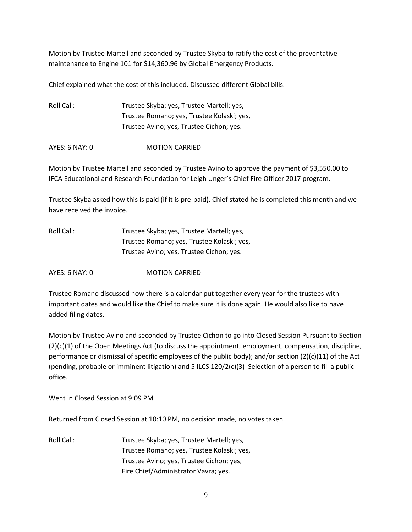Motion by Trustee Martell and seconded by Trustee Skyba to ratify the cost of the preventative maintenance to Engine 101 for \$14,360.96 by Global Emergency Products.

Chief explained what the cost of this included. Discussed different Global bills.

Roll Call: Trustee Skyba; yes, Trustee Martell; yes, Trustee Romano; yes, Trustee Kolaski; yes, Trustee Avino; yes, Trustee Cichon; yes.

AYES: 6 NAY: 0 MOTION CARRIED

Motion by Trustee Martell and seconded by Trustee Avino to approve the payment of \$3,550.00 to IFCA Educational and Research Foundation for Leigh Unger's Chief Fire Officer 2017 program.

Trustee Skyba asked how this is paid (if it is pre-paid). Chief stated he is completed this month and we have received the invoice.

| Roll Call: | Trustee Skyba; yes, Trustee Martell; yes,  |
|------------|--------------------------------------------|
|            | Trustee Romano; yes, Trustee Kolaski; yes, |
|            | Trustee Avino; yes, Trustee Cichon; yes.   |

AYES: 6 NAY: 0 MOTION CARRIED

Trustee Romano discussed how there is a calendar put together every year for the trustees with important dates and would like the Chief to make sure it is done again. He would also like to have added filing dates.

Motion by Trustee Avino and seconded by Trustee Cichon to go into Closed Session Pursuant to Section (2)(c)(1) of the Open Meetings Act (to discuss the appointment, employment, compensation, discipline, performance or dismissal of specific employees of the public body); and/or section (2)(c)(11) of the Act (pending, probable or imminent litigation) and 5 ILCS 120/2(c)(3) Selection of a person to fill a public office.

Went in Closed Session at 9:09 PM

Returned from Closed Session at 10:10 PM, no decision made, no votes taken.

Roll Call: Trustee Skyba; yes, Trustee Martell; yes, Trustee Romano; yes, Trustee Kolaski; yes, Trustee Avino; yes, Trustee Cichon; yes, Fire Chief/Administrator Vavra; yes.